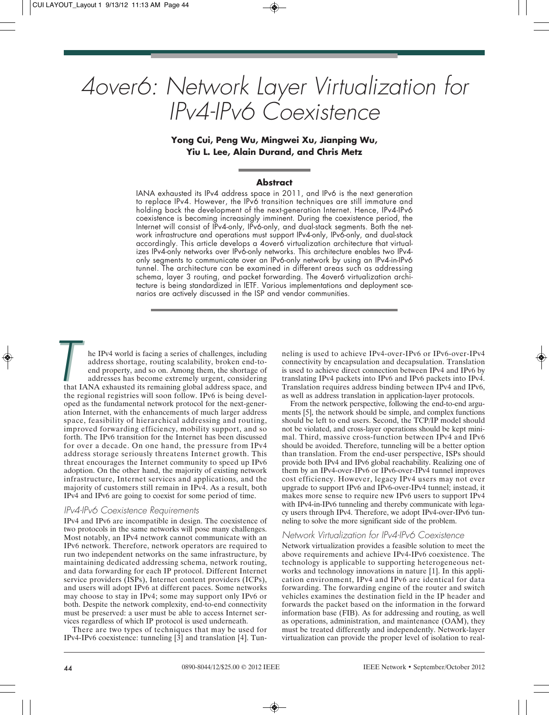# 4over6: Network Layer Virtualization for IPv4-IPv6 Coexistence

**Yong Cui, Peng Wu, Mingwei Xu, Jianping Wu, Yiu L. Lee, Alain Durand, and Chris Metz**

#### **Abstract**

IANA exhausted its IPv4 address space in 2011, and IPv6 is the next generation to replace IPv4. However, the IPv6 transition techniques are still immature and holding back the development of the next-generation Internet. Hence, IPv4-IPv6 coexistence is becoming increasingly imminent. During the coexistence period, the Internet will consist of IPv4-only, IPv6-only, and dual-stack segments. Both the network infrastructure and operations must support IPv4-only, IPv6-only, and dual-stack accordingly. This article develops a 4over6 virtualization architecture that virtualizes IPv4-only networks over IPv6-only networks. This architecture enables two IPv4only segments to communicate over an IPv6-only network by using an IPv4-in-IPv6 tunnel. The architecture can be examined in different areas such as addressing schema, layer 3 routing, and packet forwarding. The 4over6 virtualization architecture is being standardized in IETF. Various implementations and deployment scenarios are actively discussed in the ISP and vendor communities.

he IPv4 world is facing a series of challenges, including address shortage, routing scalability, broken end-toend property, and so on. Among them, the shortage of addresses has become extremely urgent, considering that IANA exhausted its remaining global address space, and the regional registries will soon follow. IPv6 is being developed as the fundamental network protocol for the next-generation Internet, with the enhancements of much larger address space, feasibility of hierarchical addressing and routing, improved forwarding efficiency, mobility support, and so forth. The IPv6 transition for the Internet has been discussed for over a decade. On one hand, the pressure from IPv4 address storage seriously threatens Internet growth. This threat encourages the Internet community to speed up IPv6 adoption. On the other hand, the majority of existing network infrastructure, Internet services and applications, and the majority of customers still remain in IPv4. As a result, both IPv4 and IPv6 are going to coexist for some period of time.  $T$ 

#### IPv4-IPv6 Coexistence Requirements

IPv4 and IPv6 are incompatible in design. The coexistence of two protocols in the same networks will pose many challenges. Most notably, an IPv4 network cannot communicate with an IPv6 network. Therefore, network operators are required to run two independent networks on the same infrastructure, by maintaining dedicated addressing schema, network routing, and data forwarding for each IP protocol. Different Internet service providers (ISPs), Internet content providers (ICPs), and users will adopt IPv6 at different paces. Some networks may choose to stay in IPv4; some may support only IPv6 or both. Despite the network complexity, end-to-end connectivity must be preserved: a user must be able to access Internet services regardless of which IP protocol is used underneath.

There are two types of techniques that may be used for IPv4-IPv6 coexistence: tunneling [3] and translation [4]. Tunneling is used to achieve IPv4-over-IPv6 or IPv6-over-IPv4 connectivity by encapsulation and decapsulation. Translation is used to achieve direct connection between IPv4 and IPv6 by translating IPv4 packets into IPv6 and IPv6 packets into IPv4. Translation requires address binding between IPv4 and IPv6, as well as address translation in application-layer protocols.

From the network perspective, following the end-to-end arguments [5], the network should be simple, and complex functions should be left to end users. Second, the TCP/IP model should not be violated, and cross-layer operations should be kept minimal. Third, massive cross-function between IPv4 and IPv6 should be avoided. Therefore, tunneling will be a better option than translation. From the end-user perspective, ISPs should provide both IPv4 and IPv6 global reachability. Realizing one of them by an IPv4-over-IPv6 or IPv6-over-IPv4 tunnel improves cost efficiency. However, legacy IPv4 users may not ever upgrade to support IPv6 and IPv6-over-IPv4 tunnel; instead, it makes more sense to require new IPv6 users to support IPv4 with IPv4-in-IPv6 tunneling and thereby communicate with legacy users through IPv4. Therefore, we adopt IPv4-over-IPv6 tunneling to solve the more significant side of the problem.

#### Network Virtualization for IPv4-IPv6 Coexistence

Network virtualization provides a feasible solution to meet the above requirements and achieve IPv4-IPv6 coexistence. The technology is applicable to supporting heterogeneous networks and technology innovations in nature [1]. In this application environment, IPv4 and IPv6 are identical for data forwarding. The forwarding engine of the router and switch vehicles examines the destination field in the IP header and forwards the packet based on the information in the forward information base (FIB). As for addressing and routing, as well as operations, administration, and maintenance (OAM), they must be treated differently and independently. Network-layer virtualization can provide the proper level of isolation to real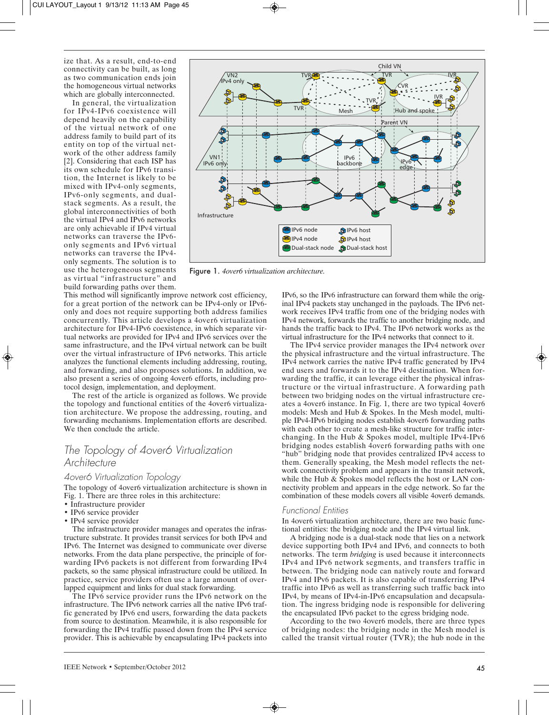ize that. As a result, end-to-end connectivity can be built, as long as two communication ends join the homogeneous virtual networks which are globally interconnected.

In general, the virtualization for IPv4-IPv6 coexistence will depend heavily on the capability of the virtual network of one address family to build part of its entity on top of the virtual network of the other address family [2]. Considering that each ISP has its own schedule for IPv6 transition, the Internet is likely to be mixed with IPv4-only segments, IPv6-only segments, and dualstack segments. As a result, the global interconnectivities of both the virtual IPv4 and IPv6 networks are only achievable if IPv4 virtual networks can traverse the IPv6 only segments and IPv6 virtual networks can traverse the IPv4 only segments. The solution is to use the heterogeneous segments as virtual "infrastructure" and build forwarding paths over them.



Figure 1. *4over6 virtualization architecture.*

This method will significantly improve network cost efficiency, for a great portion of the network can be IPv4-only or IPv6 only and does not require supporting both address families concurrently. This article develops a 4over6 virtualization architecture for IPv4-IPv6 coexistence, in which separate virtual networks are provided for IPv4 and IPv6 services over the same infrastructure, and the IPv4 virtual network can be built over the virtual infrastructure of IPv6 networks. This article analyzes the functional elements including addressing, routing, and forwarding, and also proposes solutions. In addition, we also present a series of ongoing 4over6 efforts, including protocol design, implementation, and deployment.

The rest of the article is organized as follows. We provide the topology and functional entities of the 4over6 virtualization architecture. We propose the addressing, routing, and forwarding mechanisms. Implementation efforts are described. We then conclude the article.

# The Topology of 4over6 Virtualization **Architecture**

## 4over6 Virtualization Topology

The topology of 4over6 virtualization architecture is shown in Fig. 1. There are three roles in this architecture:

- Infrastructure provider
- IPv6 service provider
- IPv4 service provider

The infrastructure provider manages and operates the infrastructure substrate. It provides transit services for both IPv4 and IPv6. The Internet was designed to communicate over diverse networks. From the data plane perspective, the principle of forwarding IPv6 packets is not different from forwarding IPv4 packets, so the same physical infrastructure could be utilized. In practice, service providers often use a large amount of overlapped equipment and links for dual stack forwarding.

The IPv6 service provider runs the IPv6 network on the infrastructure. The IPv6 network carries all the native IPv6 traffic generated by IPv6 end users, forwarding the data packets from source to destination. Meanwhile, it is also responsible for forwarding the IPv4 traffic passed down from the IPv4 service provider. This is achievable by encapsulating IPv4 packets into

IPv6, so the IPv6 infrastructure can forward them while the original IPv4 packets stay unchanged in the payloads. The IPv6 network receives IPv4 traffic from one of the bridging nodes with IPv4 network, forwards the traffic to another bridging node, and hands the traffic back to IPv4. The IPv6 network works as the virtual infrastructure for the IPv4 networks that connect to it.

The IPv4 service provider manages the IPv4 network over the physical infrastructure and the virtual infrastructure. The IPv4 network carries the native IPv4 traffic generated by IPv4 end users and forwards it to the IPv4 destination. When forwarding the traffic, it can leverage either the physical infrastructure or the virtual infrastructure. A forwarding path between two bridging nodes on the virtual infrastructure creates a 4over6 instance. In Fig. 1, there are two typical 4over6 models: Mesh and Hub & Spokes. In the Mesh model, multiple IPv4-IPv6 bridging nodes establish 4over6 forwarding paths with each other to create a mesh-like structure for traffic interchanging. In the Hub & Spokes model, multiple IPv4-IPv6 bridging nodes establish 4over6 forwarding paths with one "hub" bridging node that provides centralized IPv4 access to them. Generally speaking, the Mesh model reflects the network connectivity problem and appears in the transit network, while the Hub & Spokes model reflects the host or LAN connectivity problem and appears in the edge network. So far the combination of these models covers all visible 4over6 demands.

#### Functional Entities

In 4over6 virtualization architecture, there are two basic functional entities: the bridging node and the IPv4 virtual link.

A bridging node is a dual-stack node that lies on a network device supporting both IPv4 and IPv6, and connects to both networks. The term *bridging* is used because it interconnects IPv4 and IPv6 network segments, and transfers traffic in between. The bridging node can natively route and forward IPv4 and IPv6 packets. It is also capable of transferring IPv4 traffic into IPv6 as well as transferring such traffic back into IPv4, by means of IPv4-in-IPv6 encapsulation and decapsulation. The ingress bridging node is responsible for delivering the encapsulated IPv6 packet to the egress bridging node.

According to the two 4over6 models, there are three types of bridging nodes: the bridging node in the Mesh model is called the transit virtual router (TVR); the hub node in the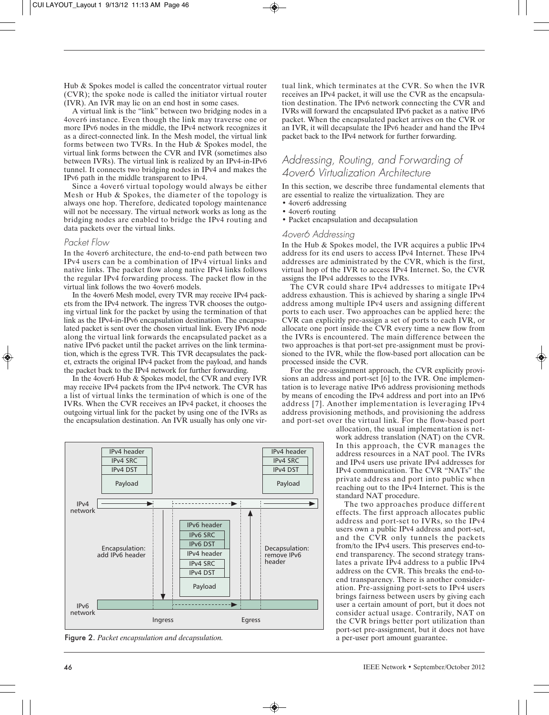Hub & Spokes model is called the concentrator virtual router (CVR); the spoke node is called the initiator virtual router (IVR). An IVR may lie on an end host in some cases.

A virtual link is the "link" between two bridging nodes in a 4over6 instance. Even though the link may traverse one or more IPv6 nodes in the middle, the IPv4 network recognizes it as a direct-connected link. In the Mesh model, the virtual link forms between two TVRs. In the Hub & Spokes model, the virtual link forms between the CVR and IVR (sometimes also between IVRs). The virtual link is realized by an IPv4-in-IPv6 tunnel. It connects two bridging nodes in IPv4 and makes the IPv6 path in the middle transparent to IPv4.

Since a 4over6 virtual topology would always be either Mesh or Hub & Spokes, the diameter of the topology is always one hop. Therefore, dedicated topology maintenance will not be necessary. The virtual network works as long as the bridging nodes are enabled to bridge the IPv4 routing and data packets over the virtual links.

## Packet Flow

In the 4over6 architecture, the end-to-end path between two IPv4 users can be a combination of IPv4 virtual links and native links. The packet flow along native IPv4 links follows the regular IPv4 forwarding process. The packet flow in the virtual link follows the two 4over6 models.

In the 4over6 Mesh model, every TVR may receive IPv4 packets from the IPv4 network. The ingress TVR chooses the outgoing virtual link for the packet by using the termination of that link as the IPv4-in-IPv6 encapsulation destination. The encapsulated packet is sent over the chosen virtual link. Every IPv6 node along the virtual link forwards the encapsulated packet as a native IPv6 packet until the packet arrives on the link termination, which is the egress TVR. This TVR decapsulates the packet, extracts the original IPv4 packet from the payload, and hands the packet back to the IPv4 network for further forwarding.

In the 4over6 Hub & Spokes model, the CVR and every IVR may receive IPv4 packets from the IPv4 network. The CVR has a list of virtual links the termination of which is one of the IVRs. When the CVR receives an IPv4 packet, it chooses the outgoing virtual link for the packet by using one of the IVRs as the encapsulation destination. An IVR usually has only one vir-



Figure 2. Packet encapsulation and decapsulation. **A computer of the capacity of the capacity** a per-user port amount guarantee.

tual link, which terminates at the CVR. So when the IVR receives an IPv4 packet, it will use the CVR as the encapsulation destination. The IPv6 network connecting the CVR and IVRs will forward the encapsulated IPv6 packet as a native IPv6 packet. When the encapsulated packet arrives on the CVR or an IVR, it will decapsulate the IPv6 header and hand the IPv4 packet back to the IPv4 network for further forwarding.

# Addressing, Routing, and Forwarding of 4over6 Virtualization Architecture

In this section, we describe three fundamental elements that are essential to realize the virtualization. They are

- 4over6 addressing
- 4over6 routing
- Packet encapsulation and decapsulation

#### 4over6 Addressing

In the Hub & Spokes model, the IVR acquires a public IPv4 address for its end users to access IPv4 Internet. These IPv4 addresses are administrated by the CVR, which is the first, virtual hop of the IVR to access IPv4 Internet. So, the CVR assigns the IPv4 addresses to the IVRs.

The CVR could share IPv4 addresses to mitigate IPv4 address exhaustion. This is achieved by sharing a single IPv4 address among multiple IPv4 users and assigning different ports to each user. Two approaches can be applied here: the CVR can explicitly pre-assign a set of ports to each IVR, or allocate one port inside the CVR every time a new flow from the IVRs is encountered. The main difference between the two approaches is that port-set pre-assignment must be provisioned to the IVR, while the flow-based port allocation can be processed inside the CVR.

For the pre-assignment approach, the CVR explicitly provisions an address and port-set [6] to the IVR. One implementation is to leverage native IPv6 address provisioning methods by means of encoding the IPv4 address and port into an IPv6 address [7]. Another implementation is leveraging IPv4 address provisioning methods, and provisioning the address and port-set over the virtual link. For the flow-based port

allocation, the usual implementation is network address translation (NAT) on the CVR. In this approach, the CVR manages the address resources in a NAT pool. The IVRs and IPv4 users use private IPv4 addresses for IPv4 communication. The CVR "NATs" the private address and port into public when reaching out to the IPv4 Internet. This is the standard NAT procedure.

The two approaches produce different effects. The first approach allocates public address and port-set to IVRs, so the IPv4 users own a public IPv4 address and port-set, and the CVR only tunnels the packets from/to the IPv4 users. This preserves end-toend transparency. The second strategy translates a private IPv4 address to a public IPv4 address on the CVR. This breaks the end-toend transparency. There is another consideration. Pre-assigning port-sets to IPv4 users brings fairness between users by giving each user a certain amount of port, but it does not consider actual usage. Contrarily, NAT on the CVR brings better port utilization than port-set pre-assignment, but it does not have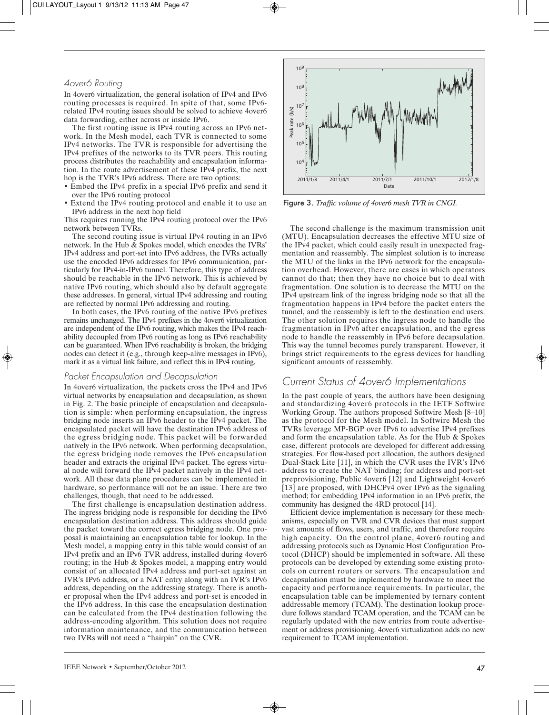#### 4over6 Routing

In 4over6 virtualization, the general isolation of IPv4 and IPv6 routing processes is required. In spite of that, some IPv6 related IPv4 routing issues should be solved to achieve 4over6 data forwarding, either across or inside IPv6.

The first routing issue is IPv4 routing across an IPv6 network. In the Mesh model, each TVR is connected to some IPv4 networks. The TVR is responsible for advertising the IPv4 prefixes of the networks to its TVR peers. This routing process distributes the reachability and encapsulation information. In the route advertisement of these IPv4 prefix, the next hop is the TVR's IPv6 address. There are two options:

• Embed the IPv4 prefix in a special IPv6 prefix and send it over the IPv6 routing protocol

• Extend the IPv4 routing protocol and enable it to use an IPv6 address in the next hop field

This requires running the IPv4 routing protocol over the IPv6 network between TVRs.

The second routing issue is virtual IPv4 routing in an IPv6 network. In the Hub & Spokes model, which encodes the IVRs' IPv4 address and port-set into IPv6 address, the IVRs actually use the encoded IPv6 addresses for IPv6 communication, particularly for IPv4-in-IPv6 tunnel. Therefore, this type of address should be reachable in the IPv6 network. This is achieved by native IPv6 routing, which should also by default aggregate these addresses. In general, virtual IPv4 addressing and routing are reflected by normal IPv6 addressing and routing.

In both cases, the IPv6 routing of the native IPv6 prefixes remains unchanged. The IPv4 prefixes in the 4over6 virtualization are independent of the IPv6 routing, which makes the IPv4 reachability decoupled from IPv6 routing as long as IPv6 reachability can be guaranteed. When IPv6 reachability is broken, the bridging nodes can detect it (e.g., through keep-alive messages in IPv6), mark it as a virtual link failure, and reflect this in IPv4 routing.

#### Packet Encapsulation and Decapsulation

In 4over6 virtualization, the packets cross the IPv4 and IPv6 virtual networks by encapsulation and decapsulation, as shown in Fig. 2. The basic principle of encapsulation and decapsulation is simple: when performing encapsulation, the ingress bridging node inserts an IPv6 header to the IPv4 packet. The encapsulated packet will have the destination IPv6 address of the egress bridging node. This packet will be forwarded natively in the IPv6 network. When performing decapsulation, the egress bridging node removes the IPv6 encapsulation header and extracts the original IPv4 packet. The egress virtual node will forward the IPv4 packet natively in the IPv4 network. All these data plane procedures can be implemented in hardware, so performance will not be an issue. There are two challenges, though, that need to be addressed.

The first challenge is encapsulation destination address. The ingress bridging node is responsible for deciding the IPv6 encapsulation destination address. This address should guide the packet toward the correct egress bridging node. One proposal is maintaining an encapsulation table for lookup. In the Mesh model, a mapping entry in this table would consist of an IPv4 prefix and an IPv6 TVR address, installed during 4over6 routing; in the Hub & Spokes model, a mapping entry would consist of an allocated IPv4 address and port-set against an IVR's IPv6 address, or a NAT entry along with an IVR's IPv6 address, depending on the addressing strategy. There is another proposal when the IPv4 address and port-set is encoded in the IPv6 address. In this case the encapsulation destination can be calculated from the IPv4 destination following the address-encoding algorithm. This solution does not require information maintenance, and the communication between two IVRs will not need a "hairpin" on the CVR.



Figure 3. *Traffic volume of 4over6 mesh TVR in CNGI.*

The second challenge is the maximum transmission unit (MTU). Encapsulation decreases the effective MTU size of the IPv4 packet, which could easily result in unexpected fragmentation and reassembly. The simplest solution is to increase the MTU of the links in the IPv6 network for the encapsulation overhead. However, there are cases in which operators cannot do that; then they have no choice but to deal with fragmentation. One solution is to decrease the MTU on the IPv4 upstream link of the ingress bridging node so that all the fragmentation happens in IPv4 before the packet enters the tunnel, and the reassembly is left to the destination end users. The other solution requires the ingress node to handle the fragmentation in IPv6 after encapsulation, and the egress node to handle the reassembly in IPv6 before decapsulation. This way the tunnel becomes purely transparent. However, it brings strict requirements to the egress devices for handling significant amounts of reassembly.

# Current Status of 4over6 Implementations

In the past couple of years, the authors have been designing and standardizing 4over6 protocols in the IETF Softwire Working Group. The authors proposed Softwire Mesh [8–10] as the protocol for the Mesh model. In Softwire Mesh the TVRs leverage MP-BGP over IPv6 to advertise IPv4 prefixes and form the encapsulation table. As for the Hub & Spokes case, different protocols are developed for different addressing strategies. For flow-based port allocation, the authors designed Dual-Stack Lite [11], in which the CVR uses the IVR's IPv6 address to create the NAT binding; for address and port-set preprovisioning, Public 4over6 [12] and Lightweight 4over6 [13] are proposed, with DHCPv4 over IPv6 as the signaling method; for embedding IPv4 information in an IPv6 prefix, the community has designed the 4RD protocol [14].

Efficient device implementation is necessary for these mechanisms, especially on TVR and CVR devices that must support vast amounts of flows, users, and traffic, and therefore require high capacity. On the control plane, 4over6 routing and addressing protocols such as Dynamic Host Configuration Protocol (DHCP) should be implemented in software. All these protocols can be developed by extending some existing protocols on current routers or servers. The encapsulation and decapsulation must be implemented by hardware to meet the capacity and performance requirements. In particular, the encapsulation table can be implemented by ternary content addressable memory (TCAM). The destination lookup procedure follows standard TCAM operation, and the TCAM can be regularly updated with the new entries from route advertisement or address provisioning. 4over6 virtualization adds no new requirement to TCAM implementation.